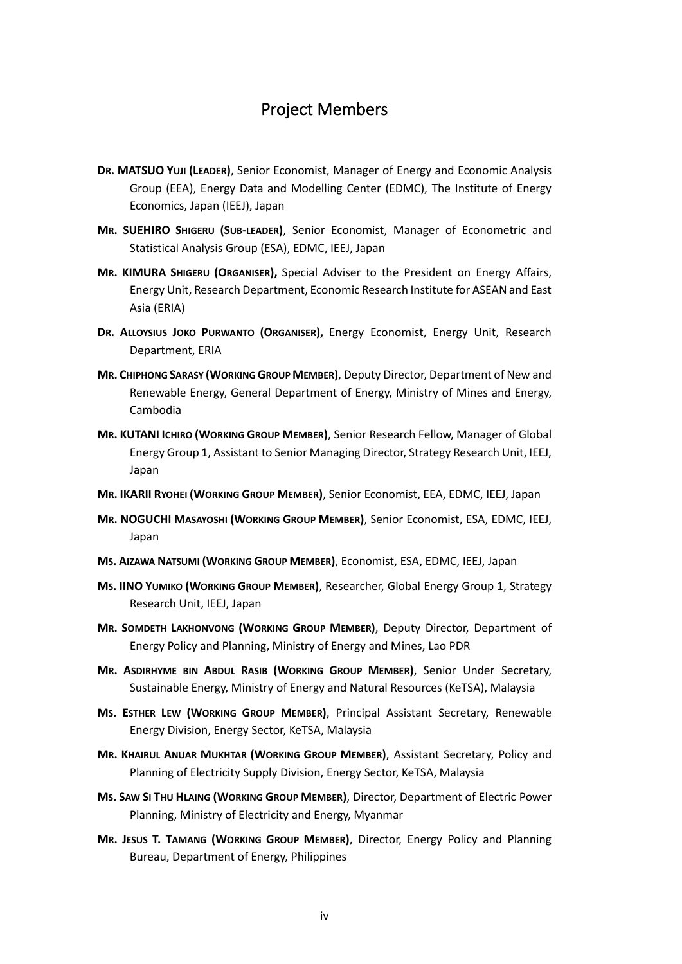## Project Members

- **DR. MATSUO YUJI (LEADER)**, Senior Economist, Manager of Energy and Economic Analysis Group (EEA), Energy Data and Modelling Center (EDMC), The Institute of Energy Economics, Japan (IEEJ), Japan
- **MR. SUEHIRO SHIGERU (SUB-LEADER)**, Senior Economist, Manager of Econometric and Statistical Analysis Group (ESA), EDMC, IEEJ, Japan
- **MR. KIMURA SHIGERU (ORGANISER),** Special Adviser to the President on Energy Affairs, Energy Unit, Research Department, Economic Research Institute for ASEAN and East Asia (ERIA)
- **DR. ALLOYSIUS JOKO PURWANTO (ORGANISER),** Energy Economist, Energy Unit, Research Department, ERIA
- **MR. CHIPHONG SARASY (WORKING GROUP MEMBER)**, Deputy Director, Department of New and Renewable Energy, General Department of Energy, Ministry of Mines and Energy, Cambodia
- **MR. KUTANI ICHIRO (WORKING GROUP MEMBER)**, Senior Research Fellow, Manager of Global Energy Group 1, Assistant to Senior Managing Director, Strategy Research Unit, IEEJ, Japan
- **MR. IKARII RYOHEI (WORKING GROUP MEMBER)**, Senior Economist, EEA, EDMC, IEEJ, Japan
- **MR. NOGUCHI MASAYOSHI (WORKING GROUP MEMBER)**, Senior Economist, ESA, EDMC, IEEJ, Japan
- **MS. AIZAWA NATSUMI (WORKING GROUP MEMBER)**, Economist, ESA, EDMC, IEEJ, Japan
- **MS. IINO YUMIKO (WORKING GROUP MEMBER)**, Researcher, Global Energy Group 1, Strategy Research Unit, IEEJ, Japan
- **MR. SOMDETH LAKHONVONG (WORKING GROUP MEMBER)**, Deputy Director, Department of Energy Policy and Planning, Ministry of Energy and Mines, Lao PDR
- **MR. ASDIRHYME BIN ABDUL RASIB (WORKING GROUP MEMBER)**, Senior Under Secretary, Sustainable Energy, Ministry of Energy and Natural Resources (KeTSA), Malaysia
- **MS. ESTHER LEW (WORKING GROUP MEMBER)**, Principal Assistant Secretary, Renewable Energy Division, Energy Sector, KeTSA, Malaysia
- **MR. KHAIRUL ANUAR MUKHTAR (WORKING GROUP MEMBER)**, Assistant Secretary, Policy and Planning of Electricity Supply Division, Energy Sector, KeTSA, Malaysia
- **MS. SAW SI THU HLAING (WORKING GROUP MEMBER)**, Director, Department of Electric Power Planning, Ministry of Electricity and Energy, Myanmar
- **MR. JESUS T. TAMANG (WORKING GROUP MEMBER)**, Director, Energy Policy and Planning Bureau, Department of Energy, Philippines